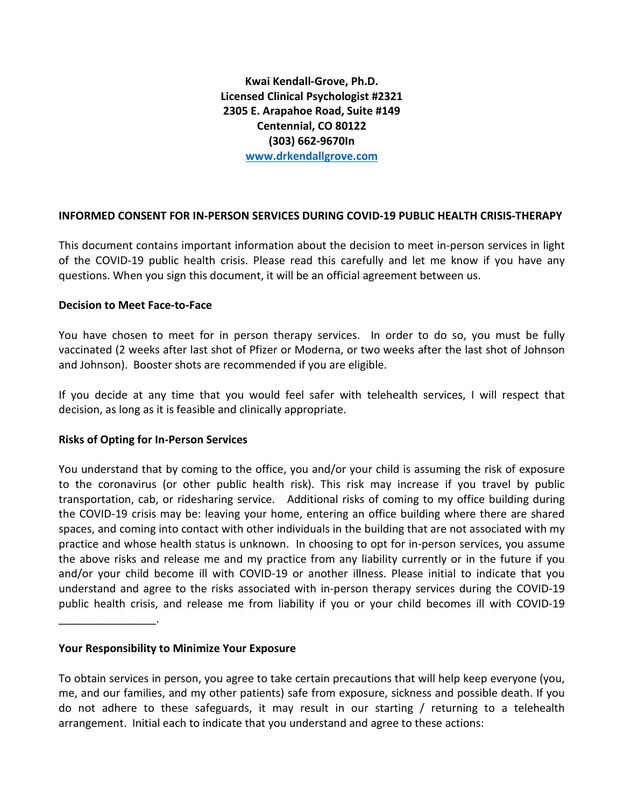**Kwai Kendall-Grove, Ph.D. Licensed Clinical Psychologist #2321 2305 E. Arapahoe Road, Suite #149 Centennial, CO 80122 (303) 662-9670In [www.drkendallgrove.com](http://www.drkendallgrove.com/)**

## **INFORMED CONSENT FOR IN-PERSON SERVICES DURING COVID-19 PUBLIC HEALTH CRISIS-THERAPY**

This document contains important information about the decision to meet in-person services in light of the COVID-19 public health crisis. Please read this carefully and let me know if you have any questions. When you sign this document, it will be an official agreement between us.

#### **Decision to Meet Face-to-Face**

You have chosen to meet for in person therapy services. In order to do so, you must be fully vaccinated (2 weeks after last shot of Pfizer or Moderna, or two weeks after the last shot of Johnson and Johnson). Booster shots are recommended if you are eligible.

If you decide at any time that you would feel safer with telehealth services, I will respect that decision, as long as it is feasible and clinically appropriate.

#### **Risks of Opting for In-Person Services**

You understand that by coming to the office, you and/or your child is assuming the risk of exposure to the coronavirus (or other public health risk). This risk may increase if you travel by public transportation, cab, or ridesharing service. Additional risks of coming to my office building during the COVID-19 crisis may be: leaving your home, entering an office building where there are shared spaces, and coming into contact with other individuals in the building that are not associated with my practice and whose health status is unknown. In choosing to opt for in-person services, you assume the above risks and release me and my practice from any liability currently or in the future if you and/or your child become ill with COVID-19 or another illness. Please initial to indicate that you understand and agree to the risks associated with in-person therapy services during the COVID-19 public health crisis, and release me from liability if you or your child becomes ill with COVID-19

#### **Your Responsibility to Minimize Your Exposure**

\_\_\_\_\_\_\_\_\_\_\_\_\_\_\_\_.

To obtain services in person, you agree to take certain precautions that will help keep everyone (you, me, and our families, and my other patients) safe from exposure, sickness and possible death. If you do not adhere to these safeguards, it may result in our starting / returning to a telehealth arrangement. Initial each to indicate that you understand and agree to these actions: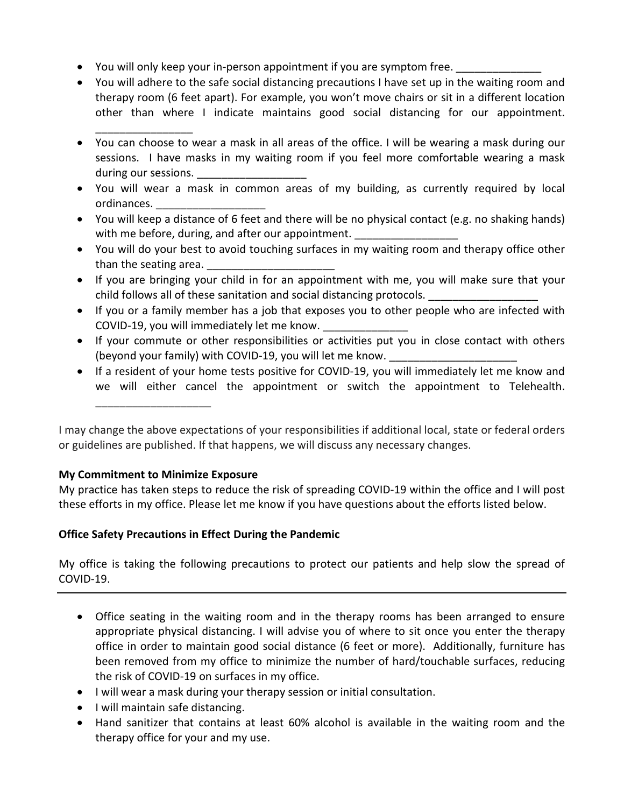- You will only keep your in-person appointment if you are symptom free.
- You will adhere to the safe social distancing precautions I have set up in the waiting room and therapy room (6 feet apart). For example, you won't move chairs or sit in a different location other than where I indicate maintains good social distancing for our appointment.
- You can choose to wear a mask in all areas of the office. I will be wearing a mask during our sessions. I have masks in my waiting room if you feel more comfortable wearing a mask during our sessions.
- You will wear a mask in common areas of my building, as currently required by local ordinances.
- You will keep a distance of 6 feet and there will be no physical contact (e.g. no shaking hands) with me before, during, and after our appointment.
- You will do your best to avoid touching surfaces in my waiting room and therapy office other than the seating area.
- If you are bringing your child in for an appointment with me, you will make sure that your child follows all of these sanitation and social distancing protocols.
- If you or a family member has a job that exposes you to other people who are infected with COVID-19, you will immediately let me know.
- If your commute or other responsibilities or activities put you in close contact with others (beyond your family) with COVID-19, you will let me know.
- If a resident of your home tests positive for COVID-19, you will immediately let me know and we will either cancel the appointment or switch the appointment to Telehealth.

I may change the above expectations of your responsibilities if additional local, state or federal orders or guidelines are published. If that happens, we will discuss any necessary changes.

# **My Commitment to Minimize Exposure**

\_\_\_\_\_\_\_\_\_\_\_\_\_\_\_\_\_\_\_

\_\_\_\_\_\_\_\_\_\_\_\_\_\_\_\_

My practice has taken steps to reduce the risk of spreading COVID-19 within the office and I will post these efforts in my office. Please let me know if you have questions about the efforts listed below.

# **Office Safety Precautions in Effect During the Pandemic**

My office is taking the following precautions to protect our patients and help slow the spread of COVID-19.

- Office seating in the waiting room and in the therapy rooms has been arranged to ensure appropriate physical distancing. I will advise you of where to sit once you enter the therapy office in order to maintain good social distance (6 feet or more). Additionally, furniture has been removed from my office to minimize the number of hard/touchable surfaces, reducing the risk of COVID-19 on surfaces in my office.
- I will wear a mask during your therapy session or initial consultation.
- I will maintain safe distancing.
- Hand sanitizer that contains at least 60% alcohol is available in the waiting room and the therapy office for your and my use.